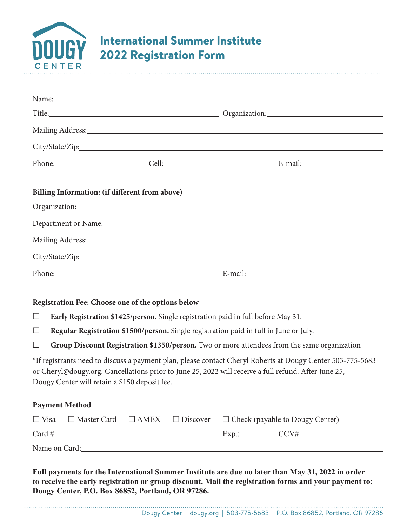

|        |                                                                                             |                                                   | Title: Comparison Comparison Comparison Comparison: Comparison: Comparison: Comparison: Comparison: Comparison                                                                                                                 |  |  |  |  |
|--------|---------------------------------------------------------------------------------------------|---------------------------------------------------|--------------------------------------------------------------------------------------------------------------------------------------------------------------------------------------------------------------------------------|--|--|--|--|
|        |                                                                                             |                                                   | Mailing Address: National Commission of the Commission of the Commission of the Commission of the Commission o                                                                                                                 |  |  |  |  |
|        |                                                                                             |                                                   |                                                                                                                                                                                                                                |  |  |  |  |
|        |                                                                                             |                                                   |                                                                                                                                                                                                                                |  |  |  |  |
|        | Billing Information: (if different from above)                                              |                                                   |                                                                                                                                                                                                                                |  |  |  |  |
|        |                                                                                             |                                                   |                                                                                                                                                                                                                                |  |  |  |  |
|        |                                                                                             |                                                   | Department or Name: 1988 and 1988 and 1988 and 1988 and 1988 and 1988 and 1988 and 1988 and 1988 and 1988 and 1988 and 1988 and 1988 and 1988 and 1988 and 1988 and 1988 and 1988 and 1988 and 1988 and 1988 and 1988 and 1988 |  |  |  |  |
|        |                                                                                             |                                                   |                                                                                                                                                                                                                                |  |  |  |  |
|        |                                                                                             |                                                   |                                                                                                                                                                                                                                |  |  |  |  |
|        |                                                                                             |                                                   | Phone: E-mail: E-mail: E-mail:                                                                                                                                                                                                 |  |  |  |  |
|        |                                                                                             | Registration Fee: Choose one of the options below |                                                                                                                                                                                                                                |  |  |  |  |
| $\Box$ | Early Registration \$1425/person. Single registration paid in full before May 31.           |                                                   |                                                                                                                                                                                                                                |  |  |  |  |
| $\Box$ | Regular Registration \$1500/person. Single registration paid in full in June or July.       |                                                   |                                                                                                                                                                                                                                |  |  |  |  |
| Ш      | Group Discount Registration \$1350/person. Two or more attendees from the same organization |                                                   |                                                                                                                                                                                                                                |  |  |  |  |
|        | Dougy Center will retain a \$150 deposit fee.                                               |                                                   | *If registrants need to discuss a payment plan, please contact Cheryl Roberts at Dougy Center 503-775-5683<br>or Cheryl@dougy.org. Cancellations prior to June 25, 2022 will receive a full refund. After June 25,             |  |  |  |  |
|        | <b>Payment Method</b>                                                                       |                                                   |                                                                                                                                                                                                                                |  |  |  |  |

| $\Box$ Visa   |  |  |  |          | $\Box$ Master Card $\Box$ AMEX $\Box$ Discover $\Box$ Check (payable to Dougy Center) |  |  |  |
|---------------|--|--|--|----------|---------------------------------------------------------------------------------------|--|--|--|
| Card $#$ :    |  |  |  | $Exp$ .: | CCV#                                                                                  |  |  |  |
| Name on Card: |  |  |  |          |                                                                                       |  |  |  |

**Full payments for the International Summer Institute are due no later than May 31, 2022 in order to receive the early registration or group discount. Mail the registration forms and your payment to: Dougy Center, P.O. Box 86852, Portland, OR 97286.**